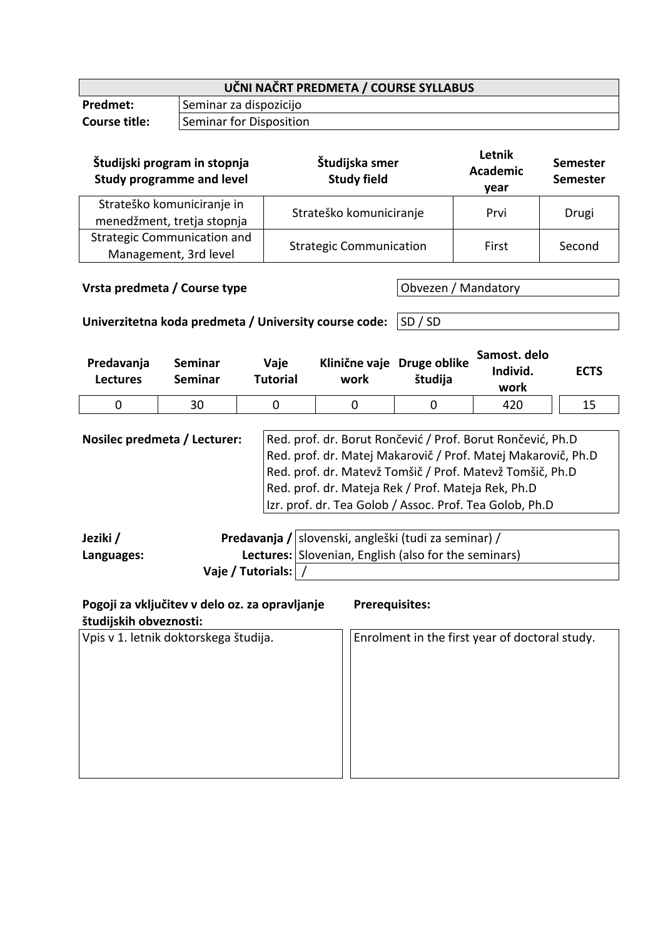| UČNI NAČRT PREDMETA / COURSE SYLLABUS |                         |  |  |
|---------------------------------------|-------------------------|--|--|
| <b>Predmet:</b>                       | Seminar za dispozicijo  |  |  |
| <b>Course title:</b>                  | Seminar for Disposition |  |  |

| Študijski program in stopnja<br><b>Study programme and level</b> | Študijska smer<br><b>Study field</b> | Letnik<br><b>Academic</b><br>year | <b>Semester</b><br>Semester |
|------------------------------------------------------------------|--------------------------------------|-----------------------------------|-----------------------------|
| Strateško komuniciranje in<br>menedžment, tretja stopnja         | Strateško komuniciranje              | Prvi                              | Drugi                       |
| <b>Strategic Communication and</b><br>Management, 3rd level      | <b>Strategic Communication</b>       | First                             | Second                      |

**Vrsta predmeta / Course type Canadiative Course 1999** Obvezen / Mandatory

**Univerzitetna koda predmeta / University course code:** SD / SD

| Predavanja<br><b>Lectures</b> | Seminar<br>Seminar | Vaje<br><b>Tutorial</b> | work | Klinične vaje Druge oblike<br>študija | Samost. delo<br>Individ.<br>work | <b>ECTS</b> |
|-------------------------------|--------------------|-------------------------|------|---------------------------------------|----------------------------------|-------------|
|                               | 30                 |                         |      |                                       | 420                              | 15          |

**Nosilec predmeta / Lecturer:** Red. prof. dr. Borut Rončević / Prof. Borut Rončević, Ph.D Red. prof. dr. Matej Makarovič / Prof. Matej Makarovič, Ph.D Red. prof. dr. Matevž Tomšič / Prof. Matevž Tomšič, Ph.D Red. prof. dr. Mateja Rek / Prof. Mateja Rek, Ph.D Izr. prof. dr. Tea Golob / Assoc. Prof. Tea Golob, Ph.D

| Jeziki /   |                       | Predavanja / slovenski, angleški (tudi za seminar) /        |
|------------|-----------------------|-------------------------------------------------------------|
| Languages: |                       | <b>Lectures:</b> Slovenian, English (also for the seminars) |
|            | Vaje / Tutorials:   / |                                                             |

| Pogoji za vključitev v delo oz. za opravljanje<br>študijskih obveznosti: | <b>Prerequisites:</b>                          |
|--------------------------------------------------------------------------|------------------------------------------------|
| Vpis v 1. letnik doktorskega študija.                                    | Enrolment in the first year of doctoral study. |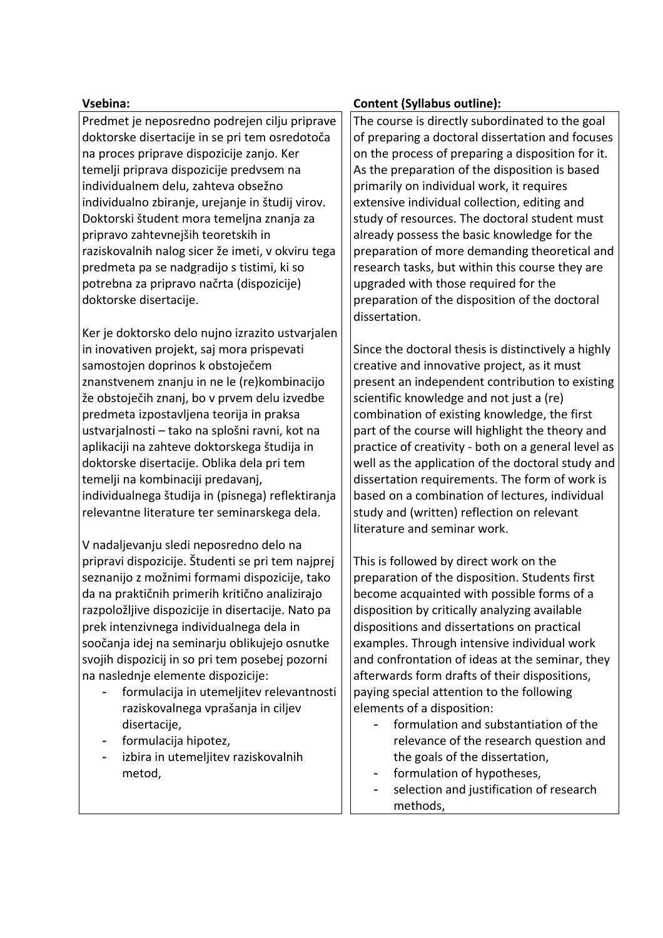Predmet je neposredno podrejen cilju priprave doktorske disertacije in se pri tem osredotoča na proces priprave dispozicije zanjo. Ker temelji priprava dispozicije predvsem na individualnem delu, zahteva obsežno individualno zbiranie, urejanie in študij virov. Doktorski študent mora temeljna znanja za pripravo zahtevnejših teoretskih in raziskovalnih nalog sicer že imeti, v okviru tega predmeta pa se nadgradijo s tistimi, ki so potrebna za pripravo načrta (dispozicije) doktorske disertacije.

Ker je doktorsko delo nujno izrazito ustvarjalen in inovativen projekt, saj mora prispevati samostojen doprinos k obstoječem znanstvenem znanju in ne le (re)kombinacijo že obstoječih znanj, bo v prvem delu izvedbe predmeta izpostavljena teorija in praksa ustvarjalnosti – tako na splošni ravni, kot na aplikaciji na zahteve doktorskega študija in doktorske disertacije. Oblika dela pri tem temelji na kombinaciji predavanj, individualnega študija in (pisnega) reflektiranja relevantne literature ter seminarskega dela.

V nadaljevanju sledi neposredno delo na pripravi dispozicije. Študenti se pri tem najprej seznanijo z možnimi formami dispozicije, tako da na praktičnih primerih kritično analizirajo razpoložljive dispozicije in disertacije. Nato pa prek intenzivnega individualnega dela in soočanja idej na seminarju oblikujejo osnutke svojih dispozicij in so pri tem posebej pozorni na naslednje elemente dispozicije:

- formulacija in utemeljitev relevantnosti raziskovalnega vprašanja in ciljev disertacije,
- formulacija hipotez,
- izbira in utemeljitev raziskovalnih metod,

# **Vsebina: Content (Syllabus outline):**

The course is directly subordinated to the goal of preparing a doctoral dissertation and focuses on the process of preparing a disposition for it. As the preparation of the disposition is based primarily on individual work, it requires extensive individual collection, editing and study of resources. The doctoral student must already possess the basic knowledge for the preparation of more demanding theoretical and research tasks, but within this course they are upgraded with those required for the preparation of the disposition of the doctoral dissertation.

Since the doctoral thesis is distinctively a highly creative and innovative project, as it must present an independent contribution to existing scientific knowledge and not just a (re) combination of existing knowledge, the first part of the course will highlight the theory and practice of creativity - both on a general level as well as the application of the doctoral study and dissertation requirements. The form of work is based on a combination of lectures, individual study and (written) reflection on relevant literature and seminar work.

This is followed by direct work on the preparation of the disposition. Students first become acquainted with possible forms of a disposition by critically analyzing available dispositions and dissertations on practical examples. Through intensive individual work and confrontation of ideas at the seminar, they afterwards form drafts of their dispositions, paying special attention to the following elements of a disposition:

- formulation and substantiation of the relevance of the research question and the goals of the dissertation,
- formulation of hypotheses,
- selection and justification of research methods,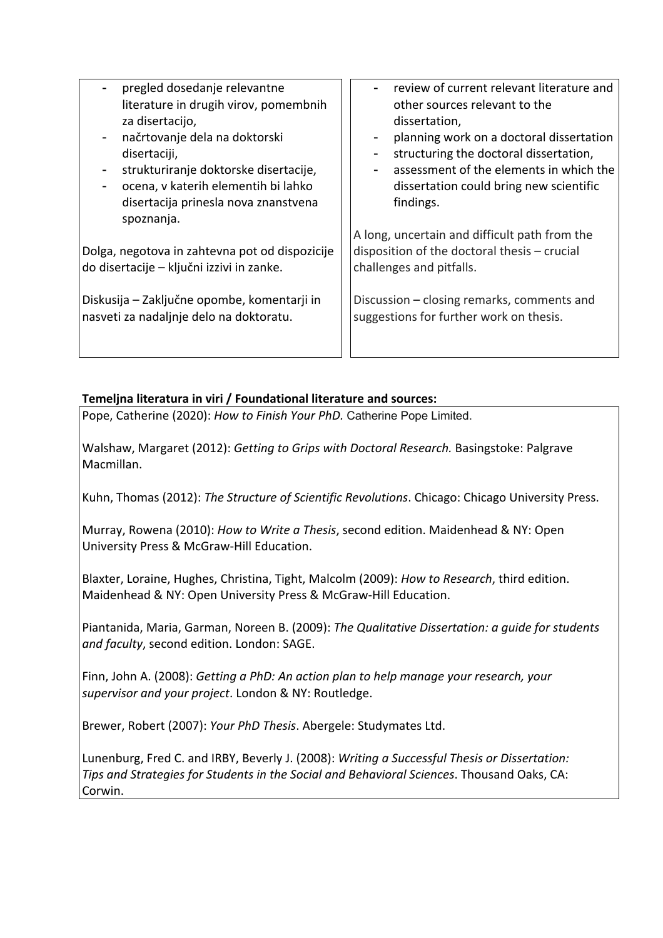| $\sim$ | pregled dosedanje relevantne          |
|--------|---------------------------------------|
|        | literature in drugih virov, pomembnih |
|        | za disertacijo,                       |

- načrtovanje dela na doktorski disertaciji.
- strukturiranje doktorske disertacije,
- ocena, v katerih elementih bi lahko disertacija prinesla nova znanstvena spoznanja.

Dolga, negotova in zahtevna pot od dispozicije do disertacije – ključni izzivi in zanke.

Diskusija – Zaključne opombe, komentarji in nasveti za nadaljnje delo na doktoratu.

review of current relevant literature and other sources relevant to the dissertation,

- planning work on a doctoral dissertation
- structuring the doctoral dissertation,
- assessment of the elements in which the dissertation could bring new scientific findings.

A long, uncertain and difficult path from the disposition of the doctoral thesis – crucial challenges and pitfalls.

Discussion – closing remarks, comments and suggestions for further work on thesis.

# **Temeljna literatura in viri / Foundational literature and sources:**

Pope, Catherine (2020): *How to Finish Your PhD.* Catherine Pope Limited.

Walshaw, Margaret (2012): *Getting to Grips with Doctoral Research.* Basingstoke: Palgrave Macmillan.

Kuhn, Thomas (2012): *The Structure of Scientific Revolutions*. Chicago: Chicago University Press.

Murray, Rowena (2010): *How to Write a Thesis*, second edition. Maidenhead & NY: Open University Press & McGraw-Hill Education.

Blaxter, Loraine, Hughes, Christina, Tight, Malcolm (2009): *How to Research*, third edition. Maidenhead & NY: Open University Press & McGraw-Hill Education.

Piantanida, Maria, Garman, Noreen B. (2009): *The Qualitative Dissertation: a guide for students and faculty*, second edition. London: SAGE.

Finn, John A. (2008): *Getting a PhD: An action plan to help manage your research, your supervisor and your project*. London & NY: Routledge.

Brewer, Robert (2007): *Your PhD Thesis*. Abergele: Studymates Ltd.

Lunenburg, Fred C. and IRBY, Beverly J. (2008): *Writing a Successful Thesis or Dissertation: Tips and Strategies for Students in the Social and Behavioral Sciences*. Thousand Oaks, CA: Corwin.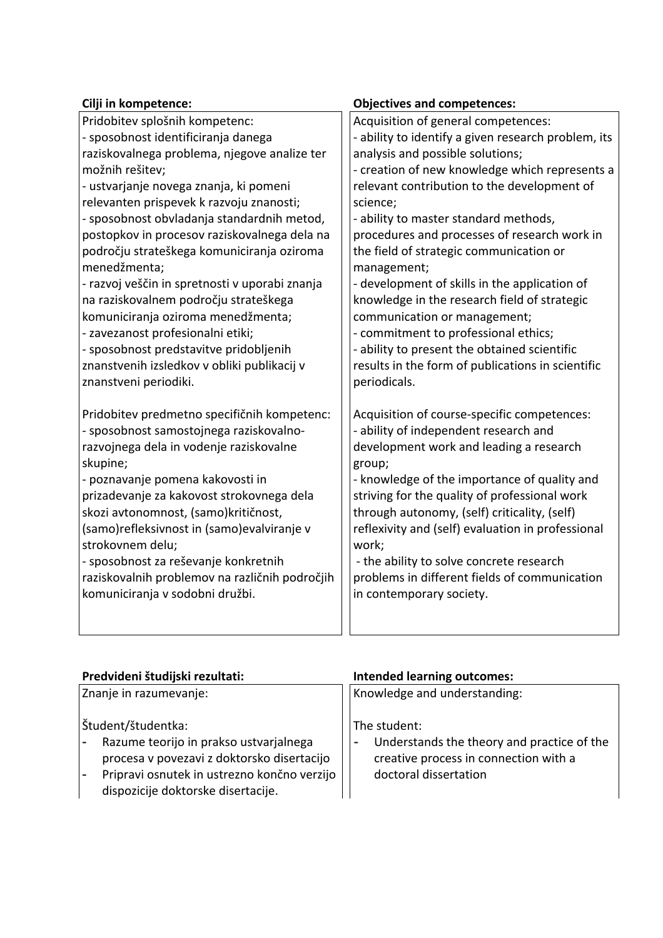| Cilji in kompetence:                           | <b>Objectives and competences:</b>                  |
|------------------------------------------------|-----------------------------------------------------|
| Pridobitev splošnih kompetenc:                 | Acquisition of general competences:                 |
| - sposobnost identificiranja danega            | - ability to identify a given research problem, its |
| raziskovalnega problema, njegove analize ter   | analysis and possible solutions;                    |
| možnih rešitev;                                | - creation of new knowledge which represents a      |
| - ustvarjanje novega znanja, ki pomeni         | relevant contribution to the development of         |
| relevanten prispevek k razvoju znanosti;       | science;                                            |
| - sposobnost obvladanja standardnih metod,     | - ability to master standard methods,               |
| postopkov in procesov raziskovalnega dela na   | procedures and processes of research work in        |
| področju strateškega komuniciranja oziroma     | the field of strategic communication or             |
| menedžmenta;                                   | management;                                         |
| - razvoj veščin in spretnosti v uporabi znanja | - development of skills in the application of       |
| na raziskovalnem področju strateškega          | knowledge in the research field of strategic        |
| komuniciranja oziroma menedžmenta;             | communication or management;                        |
| - zavezanost profesionalni etiki;              | - commitment to professional ethics;                |
| - sposobnost predstavitve pridobljenih         | - ability to present the obtained scientific        |
| znanstvenih izsledkov v obliki publikacij v    | results in the form of publications in scientific   |
| znanstveni periodiki.                          | periodicals.                                        |
|                                                |                                                     |
| Pridobitev predmetno specifičnih kompetenc:    | Acquisition of course-specific competences:         |
| - sposobnost samostojnega raziskovalno-        | - ability of independent research and               |
| razvojnega dela in vodenje raziskovalne        | development work and leading a research             |
| skupine;                                       | group;                                              |
| - poznavanje pomena kakovosti in               | - knowledge of the importance of quality and        |
| prizadevanje za kakovost strokovnega dela      | striving for the quality of professional work       |
| skozi avtonomnost, (samo) kritičnost,          | through autonomy, (self) criticality, (self)        |
| (samo)refleksivnost in (samo)evalviranje v     | reflexivity and (self) evaluation in professional   |
| strokovnem delu;                               | work;                                               |
| - sposobnost za reševanje konkretnih           | - the ability to solve concrete research            |
| raziskovalnih problemov na različnih področjih | problems in different fields of communication       |
| komuniciranja v sodobni družbi.                | in contemporary society.                            |
|                                                |                                                     |
|                                                |                                                     |

| Predvideni študijski rezultati:                                                                                                                                                                                             | <b>Intended learning outcomes:</b>                                                                                                                       |
|-----------------------------------------------------------------------------------------------------------------------------------------------------------------------------------------------------------------------------|----------------------------------------------------------------------------------------------------------------------------------------------------------|
| Znanje in razumevanje:                                                                                                                                                                                                      | Knowledge and understanding:                                                                                                                             |
| Študent/študentka:<br>Razume teorijo in prakso ustvarjalnega<br>procesa v povezavi z doktorsko disertacijo<br>Pripravi osnutek in ustrezno končno verzijo<br>$\overline{\phantom{a}}$<br>dispozicije doktorske disertacije. | The student:<br>Understands the theory and practice of the<br>$\overline{\phantom{a}}$<br>creative process in connection with a<br>doctoral dissertation |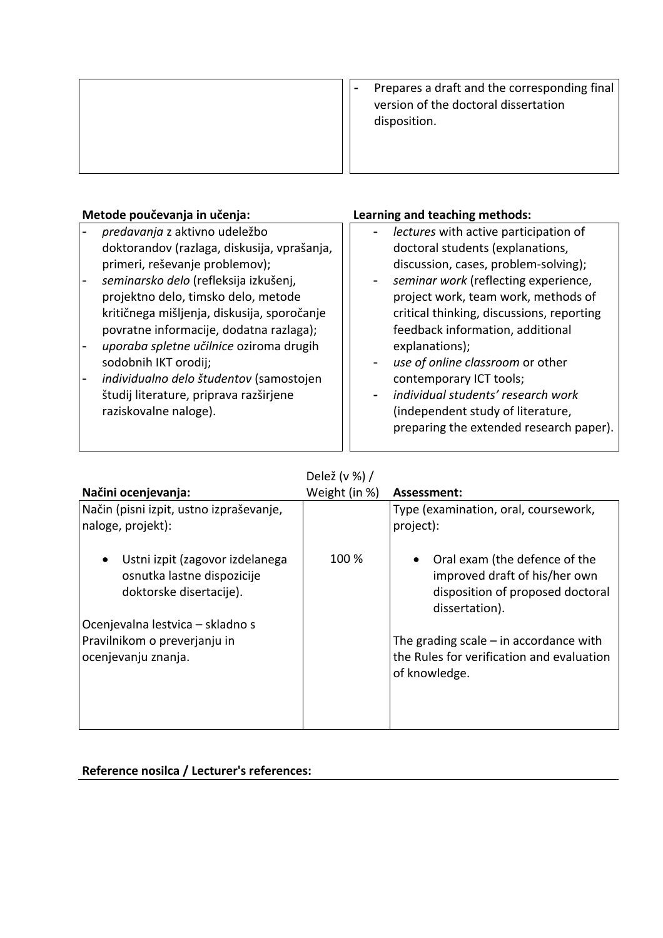| Prepares a draft and the corresponding final<br>version of the doctoral dissertation<br>disposition. |
|------------------------------------------------------------------------------------------------------|
|                                                                                                      |

# **Metode poučevanja in učenja: Learning and teaching methods:**

- *predavanja* z aktivno udeležbo doktorandov (razlaga, diskusija, vprašanja, primeri, reševanje problemov);
- *seminarsko delo* (refleksija izkušenj, projektno delo, timsko delo, metode kritičnega mišljenja, diskusija, sporočanje povratne informacije, dodatna razlaga);
- *uporaba spletne učilnice* oziroma drugih sodobnih IKT orodij;
- *individualno delo študentov* (samostojen študij literature, priprava razširjene raziskovalne naloge).

- *lectures* with active participation of doctoral students (explanations, discussion, cases, problem-solving); - *seminar work* (reflecting experience, project work, team work, methods of critical thinking, discussions, reporting feedback information, additional explanations); use of online classroom or other contemporary ICT tools;
	- *individual students' research work* (independent study of literature, preparing the extended research paper).

# Delež (v %) /

| Načini ocenjevanja:                                                                                   | Weight (in %) | Assessment:                                                                                                          |
|-------------------------------------------------------------------------------------------------------|---------------|----------------------------------------------------------------------------------------------------------------------|
| Način (pisni izpit, ustno izpraševanje,                                                               |               | Type (examination, oral, coursework,                                                                                 |
| naloge, projekt):                                                                                     |               | project):                                                                                                            |
| Ustni izpit (zagovor izdelanega<br>$\bullet$<br>osnutka lastne dispozicije<br>doktorske disertacije). | 100 %         | Oral exam (the defence of the<br>improved draft of his/her own<br>disposition of proposed doctoral<br>dissertation). |
| Ocenjevalna lestvica – skladno s                                                                      |               |                                                                                                                      |
| Pravilnikom o preverjanju in                                                                          |               | The grading scale $-$ in accordance with                                                                             |
| ocenjevanju znanja.                                                                                   |               | the Rules for verification and evaluation<br>of knowledge.                                                           |
|                                                                                                       |               |                                                                                                                      |
|                                                                                                       |               |                                                                                                                      |

### **Reference nosilca / Lecturer's references:**